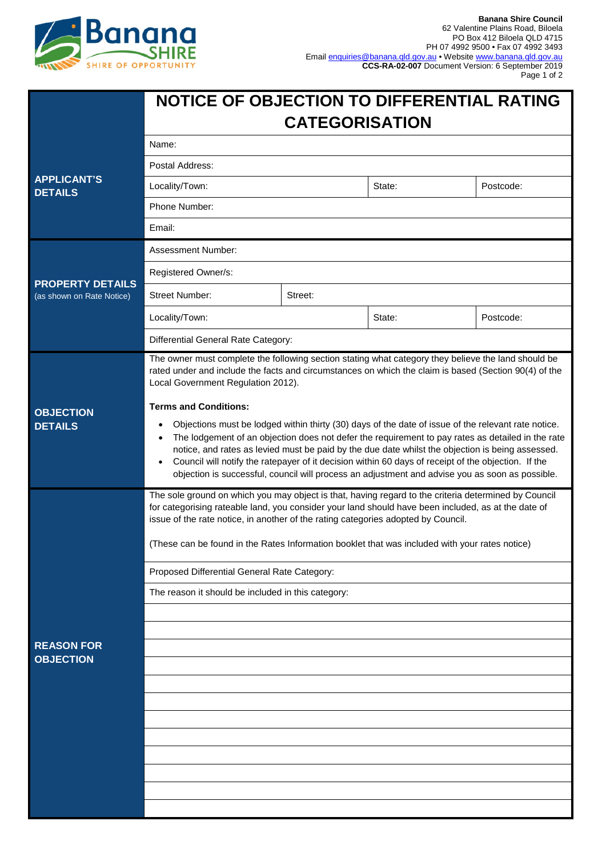

|                                                      | NOTICE OF OBJECTION TO DIFFERENTIAL RATING<br><b>CATEGORISATION</b>                                                                                                                                                                                                                                                                                                                                                                                                                                                                                    |         |        |           |  |
|------------------------------------------------------|--------------------------------------------------------------------------------------------------------------------------------------------------------------------------------------------------------------------------------------------------------------------------------------------------------------------------------------------------------------------------------------------------------------------------------------------------------------------------------------------------------------------------------------------------------|---------|--------|-----------|--|
|                                                      | Name:                                                                                                                                                                                                                                                                                                                                                                                                                                                                                                                                                  |         |        |           |  |
| <b>APPLICANT'S</b><br><b>DETAILS</b>                 | Postal Address:                                                                                                                                                                                                                                                                                                                                                                                                                                                                                                                                        |         |        |           |  |
|                                                      | Locality/Town:                                                                                                                                                                                                                                                                                                                                                                                                                                                                                                                                         |         | State: | Postcode: |  |
|                                                      | Phone Number:                                                                                                                                                                                                                                                                                                                                                                                                                                                                                                                                          |         |        |           |  |
|                                                      | Email:                                                                                                                                                                                                                                                                                                                                                                                                                                                                                                                                                 |         |        |           |  |
| <b>PROPERTY DETAILS</b><br>(as shown on Rate Notice) | Assessment Number:                                                                                                                                                                                                                                                                                                                                                                                                                                                                                                                                     |         |        |           |  |
|                                                      | Registered Owner/s:                                                                                                                                                                                                                                                                                                                                                                                                                                                                                                                                    |         |        |           |  |
|                                                      | <b>Street Number:</b>                                                                                                                                                                                                                                                                                                                                                                                                                                                                                                                                  | Street: |        |           |  |
|                                                      | Locality/Town:                                                                                                                                                                                                                                                                                                                                                                                                                                                                                                                                         |         | State: | Postcode: |  |
|                                                      | Differential General Rate Category:                                                                                                                                                                                                                                                                                                                                                                                                                                                                                                                    |         |        |           |  |
| <b>OBJECTION</b><br><b>DETAILS</b>                   | The owner must complete the following section stating what category they believe the land should be<br>rated under and include the facts and circumstances on which the claim is based (Section 90(4) of the<br>Local Government Regulation 2012).                                                                                                                                                                                                                                                                                                     |         |        |           |  |
|                                                      | <b>Terms and Conditions:</b><br>Objections must be lodged within thirty (30) days of the date of issue of the relevant rate notice.<br>The lodgement of an objection does not defer the requirement to pay rates as detailed in the rate<br>notice, and rates as levied must be paid by the due date whilst the objection is being assessed.<br>Council will notify the ratepayer of it decision within 60 days of receipt of the objection. If the<br>objection is successful, council will process an adjustment and advise you as soon as possible. |         |        |           |  |
|                                                      | The sole ground on which you may object is that, having regard to the criteria determined by Council<br>for categorising rateable land, you consider your land should have been included, as at the date of<br>issue of the rate notice, in another of the rating categories adopted by Council.<br>(These can be found in the Rates Information booklet that was included with your rates notice)                                                                                                                                                     |         |        |           |  |
|                                                      | Proposed Differential General Rate Category:                                                                                                                                                                                                                                                                                                                                                                                                                                                                                                           |         |        |           |  |
|                                                      | The reason it should be included in this category:                                                                                                                                                                                                                                                                                                                                                                                                                                                                                                     |         |        |           |  |
|                                                      |                                                                                                                                                                                                                                                                                                                                                                                                                                                                                                                                                        |         |        |           |  |
|                                                      |                                                                                                                                                                                                                                                                                                                                                                                                                                                                                                                                                        |         |        |           |  |
| <b>REASON FOR</b><br><b>OBJECTION</b>                |                                                                                                                                                                                                                                                                                                                                                                                                                                                                                                                                                        |         |        |           |  |
|                                                      |                                                                                                                                                                                                                                                                                                                                                                                                                                                                                                                                                        |         |        |           |  |
|                                                      |                                                                                                                                                                                                                                                                                                                                                                                                                                                                                                                                                        |         |        |           |  |
|                                                      |                                                                                                                                                                                                                                                                                                                                                                                                                                                                                                                                                        |         |        |           |  |
|                                                      |                                                                                                                                                                                                                                                                                                                                                                                                                                                                                                                                                        |         |        |           |  |
|                                                      |                                                                                                                                                                                                                                                                                                                                                                                                                                                                                                                                                        |         |        |           |  |
|                                                      |                                                                                                                                                                                                                                                                                                                                                                                                                                                                                                                                                        |         |        |           |  |
|                                                      |                                                                                                                                                                                                                                                                                                                                                                                                                                                                                                                                                        |         |        |           |  |
|                                                      |                                                                                                                                                                                                                                                                                                                                                                                                                                                                                                                                                        |         |        |           |  |